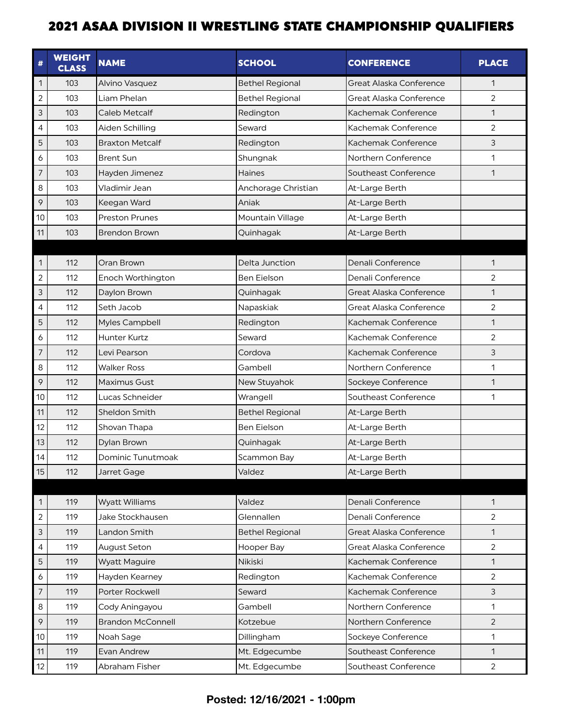| #              | <b>WEIGHT</b><br><b>CLASS</b> | <b>NAME</b>              | <b>SCHOOL</b>          | <b>CONFERENCE</b>       | <b>PLACE</b>   |
|----------------|-------------------------------|--------------------------|------------------------|-------------------------|----------------|
| $\mathbf{1}$   | 103                           | Alvino Vasquez           | <b>Bethel Regional</b> | Great Alaska Conference | 1              |
| $\overline{2}$ | 103                           | Liam Phelan              | <b>Bethel Regional</b> | Great Alaska Conference | 2              |
| 3              | 103                           | Caleb Metcalf            | Redington              | Kachemak Conference     | $\mathbf{1}$   |
| 4              | 103                           | Aiden Schilling          | Seward                 | Kachemak Conference     | $\overline{2}$ |
| 5              | 103                           | <b>Braxton Metcalf</b>   | Redington              | Kachemak Conference     | 3              |
| 6              | 103                           | <b>Brent Sun</b>         | Shungnak               | Northern Conference     | 1              |
| $\overline{7}$ | 103                           | Hayden Jimenez           | <b>Haines</b>          | Southeast Conference    | $\mathbf{1}$   |
| 8              | 103                           | Vladimir Jean            | Anchorage Christian    | At-Large Berth          |                |
| 9              | 103                           | Keegan Ward              | Aniak                  | At-Large Berth          |                |
| 10             | 103                           | <b>Preston Prunes</b>    | Mountain Village       | At-Large Berth          |                |
| 11             | 103                           | <b>Brendon Brown</b>     | Quinhagak              | At-Large Berth          |                |
|                |                               |                          |                        |                         |                |
| $\mathbf{1}$   | 112                           | Oran Brown               | Delta Junction         | Denali Conference       | 1              |
| $\overline{c}$ | 112                           | Enoch Worthington        | Ben Eielson            | Denali Conference       | $\overline{2}$ |
| 3              | 112                           | Daylon Brown             | Quinhagak              | Great Alaska Conference | $\mathbf{1}$   |
| $\overline{4}$ | 112                           | Seth Jacob               | Napaskiak              | Great Alaska Conference | 2              |
| 5              | 112                           | Myles Campbell           | Redington              | Kachemak Conference     | $\mathbf{1}$   |
| 6              | 112                           | Hunter Kurtz             | Seward                 | Kachemak Conference     | $\overline{2}$ |
| $\overline{7}$ | 112                           | Levi Pearson             | Cordova                | Kachemak Conference     | 3              |
| 8              | 112                           | <b>Walker Ross</b>       | Gambell                | Northern Conference     | 1              |
| 9              | 112                           | Maximus Gust             | New Stuyahok           | Sockeye Conference      | $\mathbf{1}$   |
| 10             | 112                           | Lucas Schneider          | Wrangell               | Southeast Conference    | 1              |
| 11             | 112                           | Sheldon Smith            | <b>Bethel Regional</b> | At-Large Berth          |                |
| 12             | 112                           | Shovan Thapa             | Ben Eielson            | At-Large Berth          |                |
| 13             | 112                           | Dylan Brown              | Quinhagak              | At-Large Berth          |                |
| 14             | 112                           | Dominic Tunutmoak        | Scammon Bay            | At-Large Berth          |                |
| 15             | 112                           | Jarret Gage              | Valdez                 | At-Large Berth          |                |
|                |                               |                          |                        |                         |                |
| $\mathbf{1}$   | 119                           | <b>Wyatt Williams</b>    | Valdez                 | Denali Conference       | $\mathbf{1}$   |
| $\sqrt{2}$     | 119                           | Jake Stockhausen         | Glennallen             | Denali Conference       | 2              |
| 3              | 119                           | Landon Smith             | <b>Bethel Regional</b> | Great Alaska Conference | $\mathbf{1}$   |
| $\overline{4}$ | 119                           | August Seton             | Hooper Bay             | Great Alaska Conference | $\overline{2}$ |
| 5              | 119                           | <b>Wyatt Maguire</b>     | Nikiski                | Kachemak Conference     | $\mathbf{1}$   |
| 6              | 119                           | Hayden Kearney           | Redington              | Kachemak Conference     | 2              |
| $\overline{7}$ | 119                           | Porter Rockwell          | Seward                 | Kachemak Conference     | 3              |
| $\,8\,$        | 119                           | Cody Aningayou           | Gambell                | Northern Conference     | $\mathbf{1}$   |
| $\circ$        | 119                           | <b>Brandon McConnell</b> | Kotzebue               | Northern Conference     | $\overline{2}$ |
| 10             | 119                           | Noah Sage                | Dillingham             | Sockeye Conference      | 1              |
| 11             | 119                           | Evan Andrew              | Mt. Edgecumbe          | Southeast Conference    | 1              |
| 12             | 119                           | Abraham Fisher           | Mt. Edgecumbe          | Southeast Conference    | $\overline{2}$ |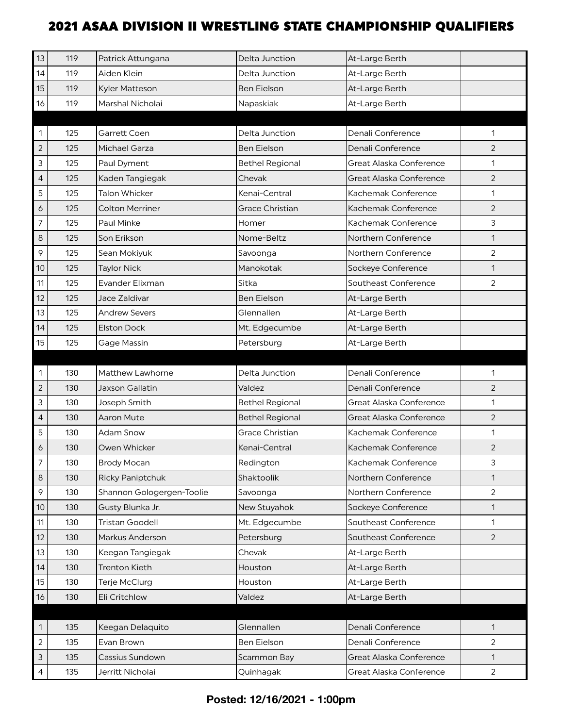| 13             | 119 | Patrick Attungana         | Delta Junction         | At-Large Berth          |                |
|----------------|-----|---------------------------|------------------------|-------------------------|----------------|
| 14             | 119 | Aiden Klein               | Delta Junction         | At-Large Berth          |                |
| 15             | 119 | Kyler Matteson            | <b>Ben Eielson</b>     | At-Large Berth          |                |
| 16             | 119 | Marshal Nicholai          | Napaskiak              | At-Large Berth          |                |
|                |     |                           |                        |                         |                |
| 1              | 125 | Garrett Coen              | Delta Junction         | Denali Conference       | 1              |
| $\overline{c}$ | 125 | Michael Garza             | <b>Ben Eielson</b>     | Denali Conference       | 2              |
| 3              | 125 | Paul Dyment               | <b>Bethel Regional</b> | Great Alaska Conference | 1              |
| $\overline{4}$ | 125 | Kaden Tangiegak           | Chevak                 | Great Alaska Conference | 2              |
| 5              | 125 | <b>Talon Whicker</b>      | Kenai-Central          | Kachemak Conference     | 1              |
| 6              | 125 | <b>Colton Merriner</b>    | <b>Grace Christian</b> | Kachemak Conference     | 2              |
| $\overline{7}$ | 125 | Paul Minke                | Homer                  | Kachemak Conference     | 3              |
| 8              | 125 | Son Erikson               | Nome-Beltz             | Northern Conference     | $\mathbf{1}$   |
| 9              | 125 | Sean Mokiyuk              | Savoonga               | Northern Conference     | $\overline{2}$ |
| 10             | 125 | <b>Taylor Nick</b>        | Manokotak              | Sockeye Conference      | 1              |
| 11             | 125 | <b>Evander Elixman</b>    | Sitka                  | Southeast Conference    | $\overline{2}$ |
| 12             | 125 | Jace Zaldivar             | <b>Ben Eielson</b>     | At-Large Berth          |                |
| 13             | 125 | <b>Andrew Severs</b>      | Glennallen             | At-Large Berth          |                |
| 14             | 125 | <b>Elston Dock</b>        | Mt. Edgecumbe          | At-Large Berth          |                |
| 15             | 125 | Gage Massin               | Petersburg             | At-Large Berth          |                |
|                |     |                           |                        |                         |                |
| 1              | 130 | Matthew Lawhorne          | Delta Junction         | Denali Conference       | 1              |
| $\overline{2}$ | 130 | <b>Jaxson Gallatin</b>    | Valdez                 | Denali Conference       | $\overline{2}$ |
| 3              | 130 | Joseph Smith              | <b>Bethel Regional</b> | Great Alaska Conference | 1              |
| $\overline{4}$ | 130 | <b>Aaron Mute</b>         | <b>Bethel Regional</b> | Great Alaska Conference | $\overline{2}$ |
| 5              | 130 | <b>Adam Snow</b>          | Grace Christian        | Kachemak Conference     | 1              |
| 6              | 130 | Owen Whicker              | Kenai-Central          | Kachemak Conference     | $\overline{2}$ |
|                | 130 | Brody Mocan               | Redington              | Kachemak Conference     | 3              |
| 8              | 130 | <b>Ricky Paniptchuk</b>   | Shaktoolik             | Northern Conference     | $\mathbf{1}$   |
| 9              | 130 | Shannon Gologergen-Toolie | Savoonga               | Northern Conference     | $\overline{2}$ |
| 10             | 130 | Gusty Blunka Jr.          | New Stuyahok           | Sockeye Conference      | 1              |
| 11             | 130 | <b>Tristan Goodell</b>    | Mt. Edgecumbe          | Southeast Conference    | 1              |
| 12             | 130 | Markus Anderson           | Petersburg             | Southeast Conference    | $\overline{2}$ |
| 13             | 130 | Keegan Tangiegak          | Chevak                 | At-Large Berth          |                |
| 14             | 130 | <b>Trenton Kieth</b>      | Houston                | At-Large Berth          |                |
| 15             | 130 | Terje McClurg             | Houston                | At-Large Berth          |                |
| 16             | 130 | Eli Critchlow             | Valdez                 | At-Large Berth          |                |
|                |     |                           |                        |                         |                |
|                |     |                           |                        |                         |                |
| 1              | 135 | Keegan Delaquito          | Glennallen             | Denali Conference       | $\mathbf{1}$   |
| $\overline{c}$ | 135 | Evan Brown                | Ben Eielson            | Denali Conference       | $\overline{2}$ |
| $\mathsf{3}$   | 135 | Cassius Sundown           | Scammon Bay            | Great Alaska Conference | $\mathbf{1}$   |
| 4              | 135 | Jerritt Nicholai          | Quinhagak              | Great Alaska Conference | $\overline{2}$ |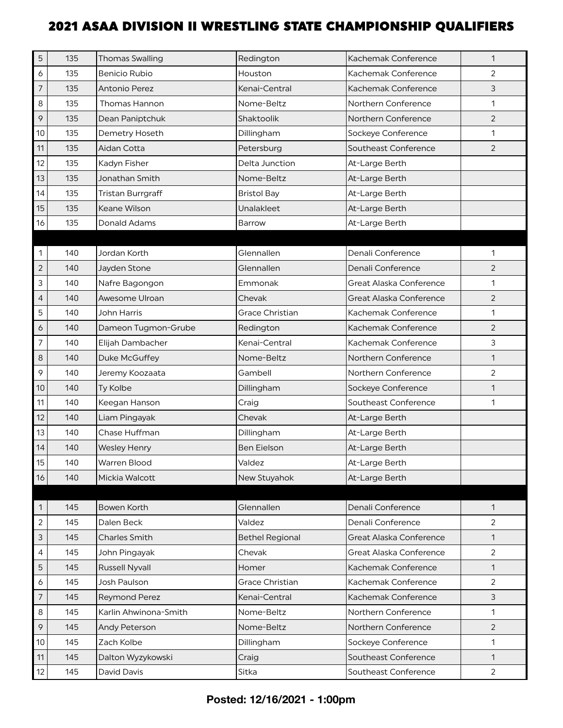| 5              | 135 | <b>Thomas Swalling</b> | Redington              | Kachemak Conference     | $\mathbf{1}$   |
|----------------|-----|------------------------|------------------------|-------------------------|----------------|
| 6              | 135 | <b>Benicio Rubio</b>   | Houston                | Kachemak Conference     | $\overline{2}$ |
| $\overline{7}$ | 135 | Antonio Perez          | Kenai-Central          | Kachemak Conference     | 3              |
| 8              | 135 | <b>Thomas Hannon</b>   | Nome-Beltz             | Northern Conference     | 1              |
| 9              | 135 | Dean Paniptchuk        | Shaktoolik             | Northern Conference     | $\overline{2}$ |
| 10             | 135 | Demetry Hoseth         | Dillingham             | Sockeye Conference      | 1              |
| 11             | 135 | Aidan Cotta            | Petersburg             | Southeast Conference    | $\overline{2}$ |
| 12             | 135 | Kadyn Fisher           | Delta Junction         | At-Large Berth          |                |
| 13             | 135 | Jonathan Smith         | Nome-Beltz             | At-Large Berth          |                |
| 14             | 135 | Tristan Burrgraff      | <b>Bristol Bay</b>     | At-Large Berth          |                |
| 15             | 135 | Keane Wilson           | Unalakleet             | At-Large Berth          |                |
| 16             | 135 | Donald Adams           | Barrow                 | At-Large Berth          |                |
|                |     |                        |                        |                         |                |
| 1              | 140 | Jordan Korth           | Glennallen             | Denali Conference       | 1              |
| $\overline{c}$ | 140 | Jayden Stone           | Glennallen             | Denali Conference       | 2              |
| 3              | 140 | Nafre Bagongon         | Emmonak                | Great Alaska Conference | 1              |
| $\overline{4}$ | 140 | Awesome Ulroan         | Chevak                 | Great Alaska Conference | 2              |
| 5              | 140 | John Harris            | Grace Christian        | Kachemak Conference     | 1              |
| 6              | 140 | Dameon Tugmon-Grube    | Redington              | Kachemak Conference     | $\overline{2}$ |
| 7              | 140 | Elijah Dambacher       | Kenai-Central          | Kachemak Conference     | 3              |
| 8              | 140 | Duke McGuffey          | Nome-Beltz             | Northern Conference     | $\mathbf{1}$   |
| 9              | 140 | Jeremy Koozaata        | Gambell                | Northern Conference     | $\overline{2}$ |
| 10             | 140 | Ty Kolbe               | Dillingham             | Sockeye Conference      | 1              |
| 11             | 140 | Keegan Hanson          | Craig                  | Southeast Conference    | 1              |
| 12             | 140 | Liam Pingayak          | Chevak                 | At-Large Berth          |                |
| 13             | 140 | Chase Huffman          | Dillingham             | At-Large Berth          |                |
| 14             | 140 | <b>Wesley Henry</b>    | Ben Eielson            | At-Large Berth          |                |
| 15             | 140 | Warren Blood           | Valdez                 | At-Large Berth          |                |
| 16             | 140 | Mickia Walcott         | New Stuyahok           | At-Large Berth          |                |
|                |     |                        |                        |                         |                |
| 1              | 145 | Bowen Korth            | Glennallen             | Denali Conference       | $\mathbf{1}$   |
| $\mathbf{2}$   | 145 | Dalen Beck             | Valdez                 | Denali Conference       | 2              |
| 3              | 145 | Charles Smith          | <b>Bethel Regional</b> | Great Alaska Conference | $\mathbf{1}$   |
| 4              | 145 | John Pingayak          | Chevak                 | Great Alaska Conference | $\overline{2}$ |
| 5              | 145 | <b>Russell Nyvall</b>  | Homer                  | Kachemak Conference     | $\mathbf{1}$   |
| 6              | 145 | Josh Paulson           | Grace Christian        | Kachemak Conference     | $\overline{2}$ |
| $\overline{7}$ | 145 | <b>Reymond Perez</b>   | Kenai-Central          | Kachemak Conference     | 3              |
| 8              | 145 | Karlin Ahwinona-Smith  | Nome-Beltz             | Northern Conference     | $\mathbf{1}$   |
| 9              | 145 | Andy Peterson          | Nome-Beltz             | Northern Conference     | 2              |
| 10             | 145 | Zach Kolbe             | Dillingham             | Sockeye Conference      | 1              |
| 11             | 145 | Dalton Wyzykowski      | Craig                  | Southeast Conference    | $\mathbf{1}$   |
| 12             | 145 | David Davis            | Sitka                  | Southeast Conference    | 2              |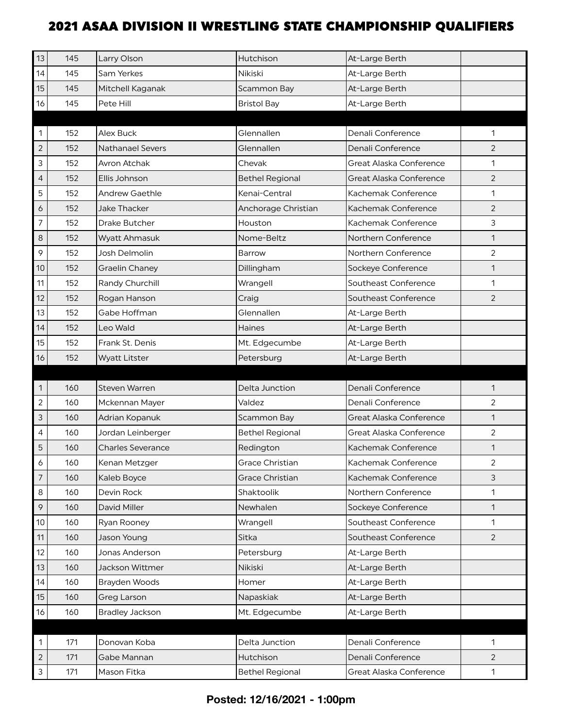| 13             | 145 | Larry Olson              | Hutchison              | At-Large Berth          |                |
|----------------|-----|--------------------------|------------------------|-------------------------|----------------|
| 14             | 145 | Sam Yerkes               | Nikiski                | At-Large Berth          |                |
| 15             | 145 | Mitchell Kaganak         | Scammon Bay            | At-Large Berth          |                |
| 16             | 145 | Pete Hill                | <b>Bristol Bay</b>     | At-Large Berth          |                |
|                |     |                          |                        |                         |                |
| 1              | 152 | Alex Buck                | Glennallen             | Denali Conference       | 1              |
| $\sqrt{2}$     | 152 | <b>Nathanael Severs</b>  | Glennallen             | Denali Conference       | 2              |
| 3              | 152 | Avron Atchak             | Chevak                 | Great Alaska Conference | 1              |
| $\overline{4}$ | 152 | Ellis Johnson            | <b>Bethel Regional</b> | Great Alaska Conference | $\overline{2}$ |
| 5              | 152 | <b>Andrew Gaethle</b>    | Kenai-Central          | Kachemak Conference     | 1              |
| 6              | 152 | <b>Jake Thacker</b>      | Anchorage Christian    | Kachemak Conference     | $\overline{2}$ |
| $\overline{7}$ | 152 | Drake Butcher            | Houston                | Kachemak Conference     | 3              |
| 8              | 152 | <b>Wyatt Ahmasuk</b>     | Nome-Beltz             | Northern Conference     | $\mathbf{1}$   |
| 9              | 152 | Josh Delmolin            | Barrow                 | Northern Conference     | $\overline{2}$ |
| 10             | 152 | <b>Graelin Chaney</b>    | Dillingham             | Sockeye Conference      | 1              |
| 11             | 152 | Randy Churchill          | Wrangell               | Southeast Conference    | 1              |
| 12             | 152 | Rogan Hanson             | Craig                  | Southeast Conference    | $\overline{2}$ |
| 13             | 152 | Gabe Hoffman             | Glennallen             | At-Large Berth          |                |
| 14             | 152 | Leo Wald                 | Haines                 | At-Large Berth          |                |
| 15             | 152 | Frank St. Denis          | Mt. Edgecumbe          | At-Large Berth          |                |
| 16             | 152 | <b>Wyatt Litster</b>     | Petersburg             | At-Large Berth          |                |
|                |     |                          |                        |                         |                |
| 1              | 160 | Steven Warren            | Delta Junction         | Denali Conference       | 1              |
| $\overline{c}$ | 160 | Mckennan Mayer           | Valdez                 | Denali Conference       | 2              |
| 3              | 160 | Adrian Kopanuk           | Scammon Bay            | Great Alaska Conference | $\mathbf{1}$   |
| 4              | 160 | Jordan Leinberger        | <b>Bethel Regional</b> | Great Alaska Conference | $\overline{2}$ |
| 5              | 160 | <b>Charles Severance</b> | Redington              | Kachemak Conference     | 1              |
| 6              | 160 | Kenan Metzger            | Grace Christian        | Kachemak Conference     | 2              |
| $\overline{7}$ | 160 | Kaleb Boyce              | <b>Grace Christian</b> | Kachemak Conference     | 3              |
| 8              | 160 | Devin Rock               | Shaktoolik             | Northern Conference     | 1              |
| 9              | 160 | David Miller             |                        |                         |                |
| 10             |     |                          | Newhalen               | Sockeye Conference      | 1              |
|                | 160 | Ryan Rooney              | Wrangell               | Southeast Conference    | 1              |
| 11             | 160 | Jason Young              | Sitka                  | Southeast Conference    | $\overline{2}$ |
| 12             | 160 | Jonas Anderson           | Petersburg             | At-Large Berth          |                |
| 13             | 160 | Jackson Wittmer          | Nikiski                | At-Large Berth          |                |
| 14             | 160 | Brayden Woods            | Homer                  | At-Large Berth          |                |
| 15             | 160 | Greg Larson              | Napaskiak              | At-Large Berth          |                |
| 16             | 160 | <b>Bradley Jackson</b>   | Mt. Edgecumbe          | At-Large Berth          |                |
|                |     |                          |                        |                         |                |
| 1              | 171 | Donovan Koba             | Delta Junction         | Denali Conference       | 1              |
| $\overline{2}$ | 171 | Gabe Mannan              | Hutchison              | Denali Conference       | $\overline{2}$ |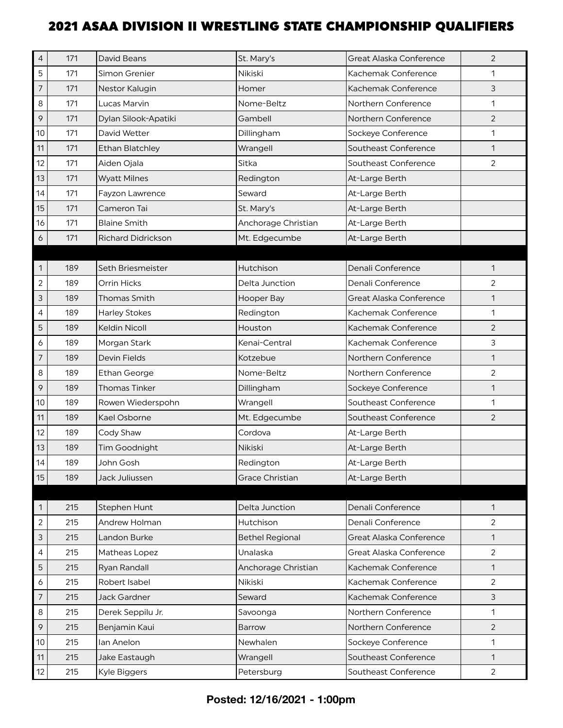| 4              | 171 | David Beans               | St. Mary's             | Great Alaska Conference | 2              |
|----------------|-----|---------------------------|------------------------|-------------------------|----------------|
| 5              | 171 | Simon Grenier             | Nikiski                | Kachemak Conference     | 1              |
| $\overline{7}$ | 171 | Nestor Kalugin            | Homer                  | Kachemak Conference     | $\mathfrak{Z}$ |
| 8              | 171 | Lucas Marvin              | Nome-Beltz             | Northern Conference     | $\mathbf{1}$   |
| 9              | 171 | Dylan Silook-Apatiki      | Gambell                | Northern Conference     | $\overline{2}$ |
| 10             | 171 | David Wetter              | Dillingham             | Sockeye Conference      | 1              |
| 11             | 171 | <b>Ethan Blatchley</b>    | Wrangell               | Southeast Conference    | $\mathbf{1}$   |
| 12             | 171 | Aiden Ojala               | Sitka                  | Southeast Conference    | 2              |
| 13             | 171 | <b>Wyatt Milnes</b>       | Redington              | At-Large Berth          |                |
| 14             | 171 | Fayzon Lawrence           | Seward                 | At-Large Berth          |                |
| 15             | 171 | Cameron Tai               | St. Mary's             | At-Large Berth          |                |
| 16             | 171 | <b>Blaine Smith</b>       | Anchorage Christian    | At-Large Berth          |                |
| 6              | 171 | <b>Richard Didrickson</b> | Mt. Edgecumbe          | At-Large Berth          |                |
|                |     |                           |                        |                         |                |
| 1              | 189 | Seth Briesmeister         | Hutchison              | Denali Conference       | 1              |
| $\overline{c}$ | 189 | Orrin Hicks               | Delta Junction         | Denali Conference       | $\overline{2}$ |
| 3              | 189 | Thomas Smith              | Hooper Bay             | Great Alaska Conference | 1              |
| 4              | 189 | <b>Harley Stokes</b>      | Redington              | Kachemak Conference     | 1              |
| 5              | 189 | <b>Keldin Nicoll</b>      | Houston                | Kachemak Conference     | 2              |
| 6              | 189 | Morgan Stark              | Kenai-Central          | Kachemak Conference     | $\mathsf{3}$   |
| $\overline{7}$ | 189 | <b>Devin Fields</b>       | Kotzebue               | Northern Conference     | $\mathbf{1}$   |
| 8              | 189 | Ethan George              | Nome-Beltz             | Northern Conference     | 2              |
| 9              | 189 | <b>Thomas Tinker</b>      | Dillingham             | Sockeye Conference      | 1              |
| 10             | 189 | Rowen Wiederspohn         | Wrangell               | Southeast Conference    | 1              |
| 11             | 189 | Kael Osborne              | Mt. Edgecumbe          | Southeast Conference    | 2              |
| 12             | 189 | Cody Shaw                 | Cordova                | At-Large Berth          |                |
| 13             | 189 | Tim Goodnight             | Nikiski                | At-Large Berth          |                |
| 14             | 189 | John Gosh                 | Redington              | At-Large Berth          |                |
| 15             | 189 | Jack Juliussen            | Grace Christian        | At-Large Berth          |                |
|                |     |                           |                        |                         |                |
| 1              | 215 | Stephen Hunt              | Delta Junction         | Denali Conference       | $\mathbf{1}$   |
| $\mathbf 2$    | 215 | Andrew Holman             | Hutchison              | Denali Conference       | $\overline{2}$ |
| 3              | 215 | Landon Burke              | <b>Bethel Regional</b> | Great Alaska Conference | $\mathbf{1}$   |
| 4              | 215 | Matheas Lopez             | Unalaska               | Great Alaska Conference | $\overline{2}$ |
| 5              | 215 | Ryan Randall              | Anchorage Christian    | Kachemak Conference     | $\mathbf{1}$   |
| 6              | 215 | Robert Isabel             | Nikiski                | Kachemak Conference     | $\overline{2}$ |
| $\overline{7}$ | 215 | Jack Gardner              | Seward                 | Kachemak Conference     | 3              |
| $\,8\,$        | 215 | Derek Seppilu Jr.         | Savoonga               | Northern Conference     | $\mathbf{1}$   |
| 9              | 215 | Benjamin Kaui             | Barrow                 | Northern Conference     | $\overline{2}$ |
| 10             | 215 | lan Anelon                | Newhalen               | Sockeye Conference      | $\mathbf{1}$   |
| 11             | 215 | Jake Eastaugh             | Wrangell               | Southeast Conference    | $\mathbf{1}$   |
| 12             | 215 | Kyle Biggers              | Petersburg             | Southeast Conference    | $\overline{2}$ |
|                |     |                           |                        |                         |                |